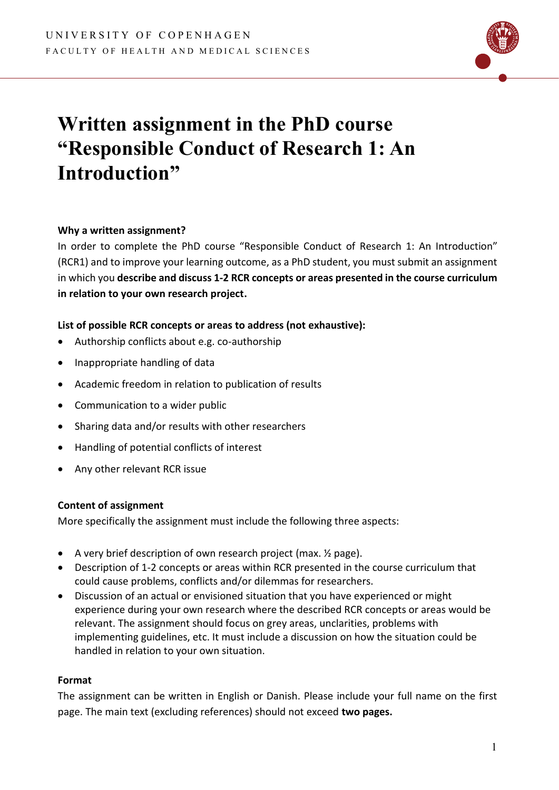

# **Written assignment in the PhD course "Responsible Conduct of Research 1: An Introduction"**

## **Why a written assignment?**

In order to complete the PhD course "Responsible Conduct of Research 1: An Introduction" (RCR1) and to improve your learning outcome, as a PhD student, you must submit an assignment in which you **describe and discuss 1-2 RCR concepts or areas presented in the course curriculum in relation to your own research project.**

# **List of possible RCR concepts or areas to address (not exhaustive):**

- Authorship conflicts about e.g. co-authorship
- Inappropriate handling of data
- Academic freedom in relation to publication of results
- Communication to a wider public
- Sharing data and/or results with other researchers
- Handling of potential conflicts of interest
- Any other relevant RCR issue

## **Content of assignment**

More specifically the assignment must include the following three aspects:

- A very brief description of own research project (max. ½ page).
- Description of 1-2 concepts or areas within RCR presented in the course curriculum that could cause problems, conflicts and/or dilemmas for researchers.
- Discussion of an actual or envisioned situation that you have experienced or might experience during your own research where the described RCR concepts or areas would be relevant. The assignment should focus on grey areas, unclarities, problems with implementing guidelines, etc. It must include a discussion on how the situation could be handled in relation to your own situation.

## **Format**

The assignment can be written in English or Danish. Please include your full name on the first page. The main text (excluding references) should not exceed **two pages.**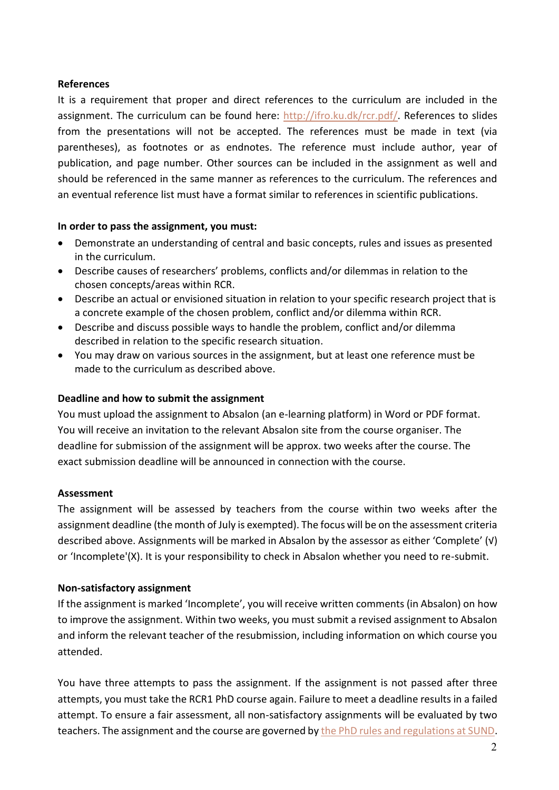#### **References**

It is a requirement that proper and direct references to the curriculum are included in the assignment. The curriculum can be found here: [http://ifro.ku.dk/rcr.pdf/.](http://ifro.ku.dk/rcr.pdf/) References to slides from the presentations will not be accepted. The references must be made in text (via parentheses), as footnotes or as endnotes. The reference must include author, year of publication, and page number. Other sources can be included in the assignment as well and should be referenced in the same manner as references to the curriculum. The references and an eventual reference list must have a format similar to references in scientific publications.

#### **In order to pass the assignment, you must:**

- Demonstrate an understanding of central and basic concepts, rules and issues as presented in the curriculum.
- Describe causes of researchers' problems, conflicts and/or dilemmas in relation to the chosen concepts/areas within RCR.
- Describe an actual or envisioned situation in relation to your specific research project that is a concrete example of the chosen problem, conflict and/or dilemma within RCR.
- Describe and discuss possible ways to handle the problem, conflict and/or dilemma described in relation to the specific research situation.
- You may draw on various sources in the assignment, but at least one reference must be made to the curriculum as described above.

#### **Deadline and how to submit the assignment**

You must upload the assignment to Absalon (an e-learning platform) in Word or PDF format. You will receive an invitation to the relevant Absalon site from the course organiser. The deadline for submission of the assignment will be approx. two weeks after the course. The exact submission deadline will be announced in connection with the course.

#### **Assessment**

The assignment will be assessed by teachers from the course within two weeks after the assignment deadline (the month of July is exempted). The focus will be on the assessment criteria described above. Assignments will be marked in Absalon by the assessor as either 'Complete' (√) or 'Incomplete'(X). It is your responsibility to check in Absalon whether you need to re-submit.

## **Non-satisfactory assignment**

If the assignment is marked 'Incomplete', you will receive written comments (in Absalon) on how to improve the assignment. Within two weeks, you must submit a revised assignment to Absalon and inform the relevant teacher of the resubmission, including information on which course you attended.

You have three attempts to pass the assignment. If the assignment is not passed after three attempts, you must take the RCR1 PhD course again. Failure to meet a deadline results in a failed attempt. To ensure a fair assessment, all non-satisfactory assignments will be evaluated by two teachers. The assignment and the course are governed by [the PhD rules and regulations at SUND.](https://healthsciences.ku.dk/phd/guidelines/)